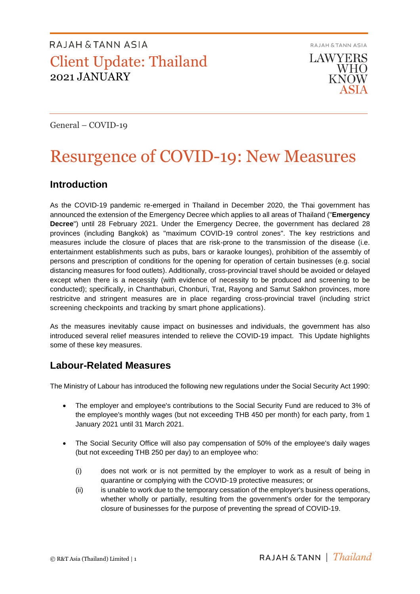**RAJAH & TANN ASIA LAWYERS WHO KNOW** 

General – COVID-19

# Resurgence of COVID-19: New Measures

### **Introduction**

As the COVID-19 pandemic re-emerged in Thailand in December 2020, the Thai government has announced the extension of the Emergency Decree which applies to all areas of Thailand ("**Emergency Decree**") until 28 February 2021. Under the Emergency Decree, the government has declared 28 provinces (including Bangkok) as "maximum COVID-19 control zones". The key restrictions and measures include the closure of places that are risk-prone to the transmission of the disease (i.e. entertainment establishments such as pubs, bars or karaoke lounges), prohibition of the assembly of persons and prescription of conditions for the opening for operation of certain businesses (e.g. social distancing measures for food outlets). Additionally, cross-provincial travel should be avoided or delayed except when there is a necessity (with evidence of necessity to be produced and screening to be conducted); specifically, in Chanthaburi, Chonburi, Trat, Rayong and Samut Sakhon provinces, more restricitve and stringent measures are in place regarding cross-provincial travel (including strict screening checkpoints and tracking by smart phone applications).

As the measures inevitably cause impact on businesses and individuals, the government has also introduced several relief measures intended to relieve the COVID-19 impact. This Update highlights some of these key measures.

### **Labour-Related Measures**

The Ministry of Labour has introduced the following new regulations under the Social Security Act 1990:

- The employer and employee's contributions to the Social Security Fund are reduced to 3% of the employee's monthly wages (but not exceeding THB 450 per month) for each party, from 1 January 2021 until 31 March 2021.
- The Social Security Office will also pay compensation of 50% of the employee's daily wages (but not exceeding THB 250 per day) to an employee who:
	- (i) does not work or is not permitted by the employer to work as a result of being in quarantine or complying with the COVID-19 protective measures; or
	- (ii) is unable to work due to the temporary cessation of the employer's business operations, whether wholly or partially, resulting from the government's order for the temporary closure of businesses for the purpose of preventing the spread of COVID-19.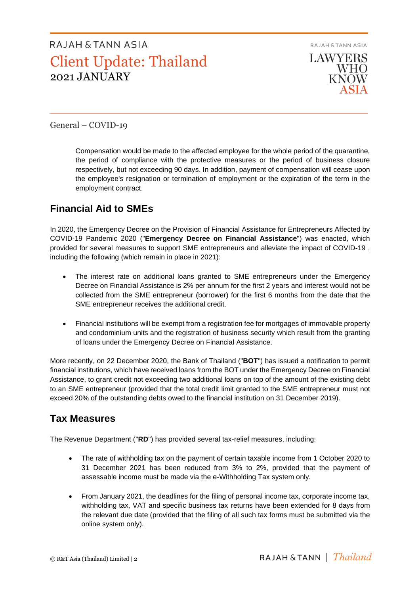

General – COVID-19

Compensation would be made to the affected employee for the whole period of the quarantine, the period of compliance with the protective measures or the period of business closure respectively, but not exceeding 90 days. In addition, payment of compensation will cease upon the employee's resignation or termination of employment or the expiration of the term in the employment contract.

### **Financial Aid to SMEs**

In 2020, the Emergency Decree on the Provision of Financial Assistance for Entrepreneurs Affected by COVID-19 Pandemic 2020 ("**Emergency Decree on Financial Assistance**") was enacted, which provided for several measures to support SME entrepreneurs and alleviate the impact of COVID-19 , including the following (which remain in place in 2021):

- The interest rate on additional loans granted to SME entrepreneurs under the Emergency Decree on Financial Assistance is 2% per annum for the first 2 years and interest would not be collected from the SME entrepreneur (borrower) for the first 6 months from the date that the SME entrepreneur receives the additional credit.
- Financial institutions will be exempt from a registration fee for mortgages of immovable property and condominium units and the registration of business security which result from the granting of loans under the Emergency Decree on Financial Assistance.

More recently, on 22 December 2020, the Bank of Thailand ("**BOT**") has issued a notification to permit financial institutions, which have received loans from the BOT under the Emergency Decree on Financial Assistance, to grant credit not exceeding two additional loans on top of the amount of the existing debt to an SME entrepreneur (provided that the total credit limit granted to the SME entrepreneur must not exceed 20% of the outstanding debts owed to the financial institution on 31 December 2019).

### **Tax Measures**

The Revenue Department ("**RD**") has provided several tax-relief measures, including:

- The rate of withholding tax on the payment of certain taxable income from 1 October 2020 to 31 December 2021 has been reduced from 3% to 2%, provided that the payment of assessable income must be made via the e-Withholding Tax system only.
- From January 2021, the deadlines for the filing of personal income tax, corporate income tax, withholding tax, VAT and specific business tax returns have been extended for 8 days from the relevant due date (provided that the filing of all such tax forms must be submitted via the online system only).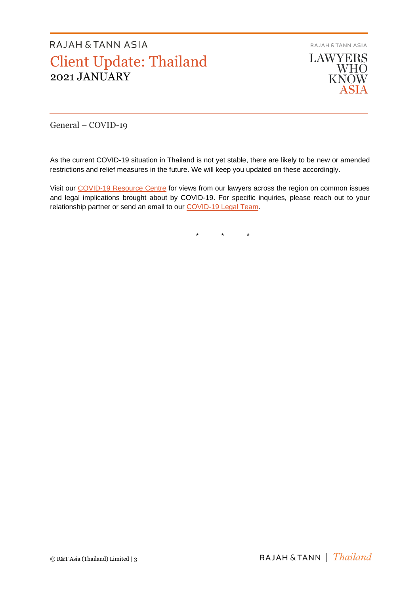**RAJAH & TANN ASIA** 

**LAWYERS** WHO<br>KNOW ASIA

General – COVID-19

As the current COVID-19 situation in Thailand is not yet stable, there are likely to be new or amended restrictions and relief measures in the future. We will keep you updated on these accordingly.

Visit our [COVID-19 Resource Centre](https://www.rajahtannasia.com/resource-centre/covid-19) for views from our lawyers across the region on common issues and legal implications brought about by COVID-19. For specific inquiries, please reach out to your relationship partner or send an email to our [COVID-19 Legal Team.](mailto:covid-19legalteam@rajahtann.com)

\* \* \*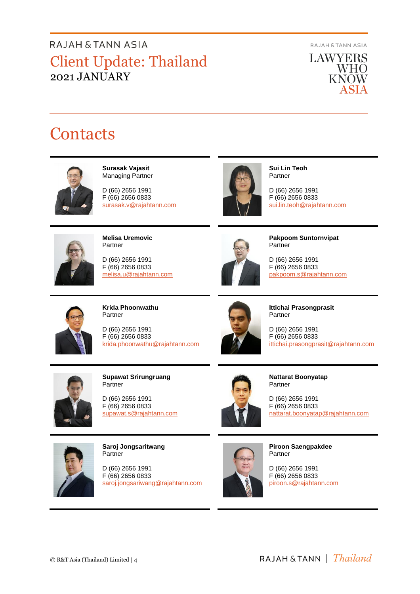RAJAH & TANN ASIA

**LAWYERS** WHO **KNOW** ASIA

# **Contacts**



**Surasak Vajasit** Managing Partner

D (66) 2656 1991 F (66) 2656 0833 surasak.v@rajahtann.com



**Sui Lin Teoh** Partner

D (66) 2656 1991 F (66) 2656 0833 [sui.lin.teoh@rajahtann.com](mailto:sui.lin.teoh@rajahtann.com)



**Melisa Uremovic** Partner

D (66) 2656 1991 F (66) 2656 0833 melisa.u@rajahtann.com



**Pakpoom Suntornvipat** Partner

D (66) 2656 1991 F (66) 2656 0833 pakpoom.s@rajahtann.com



**Krida Phoonwathu** Partner

D (66) 2656 1991 F (66) 2656 0833 [krida.phoonwathu@rajahtann.com](mailto:krida.phoonwathu@rajahtann.com)



**Ittichai Prasongprasit** Partner

D (66) 2656 1991 F (66) 2656 0833 ittichai.prasongprasit@rajahtann.com



**Supawat Srirungruang** Partner

D (66) 2656 1991 F (66) 2656 0833 [supawat.s@rajahtann.com](mailto:supawat.s@rajahtann.com)



**Nattarat Boonyatap** Partner

D (66) 2656 1991 F (66) 2656 0833 nattarat.boonyatap@rajahtann.com



**Saroj Jongsaritwang** Partner

D (66) 2656 1991 F (66) 2656 0833 [saroj.jongsariwang@rajahtann.com](mailto:saroj.jongsariwang@rajahtann.com)



**Piroon Saengpakdee** Partner

D (66) 2656 1991 F (66) 2656 0833 piroon.s@rajahtann.com

RAJAH & TANN | *Thailand*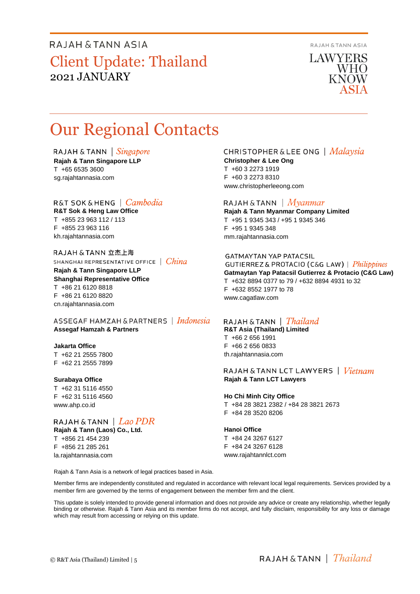**RAJAH & TANN ASIA** 

**LAWYERS** WHO KNOW

# Our Regional Contacts

RAJAH & TANN  $\int$  *Singapore* 

**Rajah & Tann Singapore LLP** T +65 6535 3600 sg.rajahtannasia.com

#### R&T SOK&HENG | *Cambodia*

**R&T Sok & Heng Law Office** T +855 23 963 112 / 113 F +855 23 963 116 kh.rajahtannasia.com

RAJAH & TANN 立杰上海 SHANGHAI REPRESENTATIVE OFFICE | China

**Rajah & Tann Singapore LLP Shanghai Representative Office** T +86 21 6120 8818 F +86 21 6120 8820 cn.rajahtannasia.com

ASSEGAF HAMZAH & PARTNERS | Indonesia **Assegaf Hamzah & Partners**

#### **Jakarta Office**

T +62 21 2555 7800 F +62 21 2555 7899

#### **Surabaya Office**

T +62 31 5116 4550 F +62 31 5116 4560 www.ahp.co.id

#### RAJAH & TANN  $|$  *Lao PDR* **Rajah & Tann (Laos) Co., Ltd.** T +856 21 454 239

F +856 21 285 261 la.rajahtannasia.com

#### CHRISTOPHER & LEE ONG | Malaysia

**Christopher & Lee Ong** T +60 3 2273 1919 F +60 3 2273 8310 www.christopherleeong.com

#### RAJAH & TANN  $\mid$  *Myanmar*

**Rajah & Tann Myanmar Company Limited** T +95 1 9345 343 / +95 1 9345 346 F +95 1 9345 348 mm.rajahtannasia.com

#### **GATMAYTAN YAP PATACSIL**

GUTIERREZ & PROTACIO (C&G LAW) | Philippines **Gatmaytan Yap Patacsil Gutierrez & Protacio (C&G Law)**  T +632 8894 0377 to 79 / +632 8894 4931 to 32 F +632 8552 1977 to 78 www.cagatlaw.com

#### RAJAH & TANN | *Thailand*

**R&T Asia (Thailand) Limited** T +66 2 656 1991 F +66 2 656 0833 th.rajahtannasia.com

#### RAJAH & TANN LCT LAWYERS | *Vietnam* **Rajah & Tann LCT Lawyers**

#### **Ho Chi Minh City Office**

T +84 28 3821 2382 / +84 28 3821 2673 F +84 28 3520 8206

#### **Hanoi Office**

T +84 24 3267 6127 F +84 24 3267 6128 www.rajahtannlct.com

Rajah & Tann Asia is a network of legal practices based in Asia.

Member firms are independently constituted and regulated in accordance with relevant local legal requirements. Services provided by a member firm are governed by the terms of engagement between the member firm and the client.

This update is solely intended to provide general information and does not provide any advice or create any relationship, whether legally binding or otherwise. Rajah & Tann Asia and its member firms do not accept, and fully disclaim, responsibility for any loss or damage which may result from accessing or relying on this update.